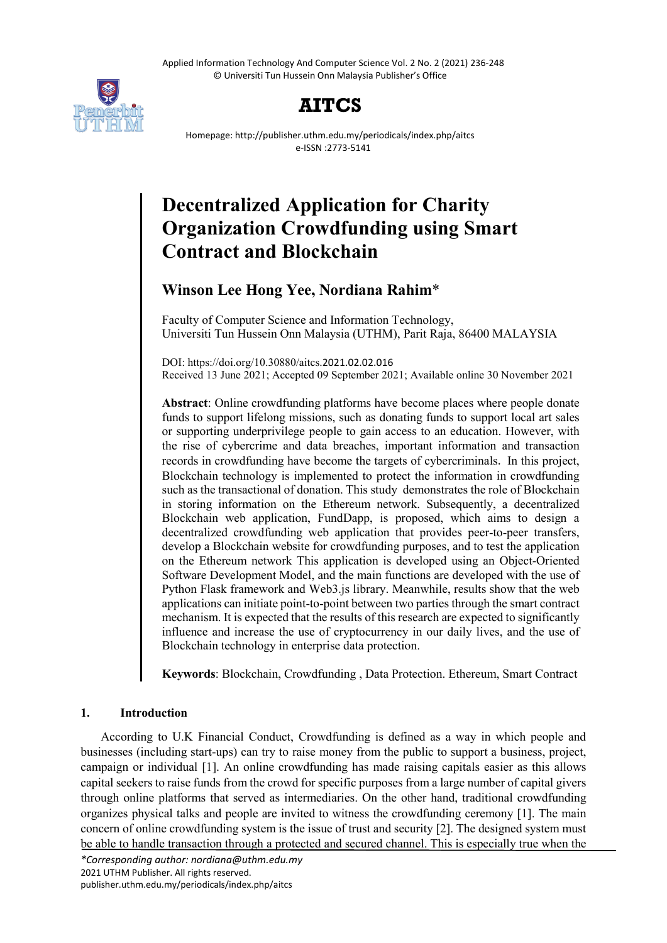Applied Information Technology And Computer Science Vol. 2 No. 2 (2021) 236-248 © Universiti Tun Hussein Onn Malaysia Publisher's Office



# **AITCS**

Homepage: http://publisher.uthm.edu.my/periodicals/index.php/aitcs e-ISSN :2773-5141

# **Decentralized Application for Charity Organization Crowdfunding using Smart Contract and Blockchain**

# **Winson Lee Hong Yee, Nordiana Rahim**\*

Faculty of Computer Science and Information Technology, Universiti Tun Hussein Onn Malaysia (UTHM), Parit Raja, 86400 MALAYSIA

DOI: https://doi.org/10.30880/aitcs.2021.02.02.016 Received 13 June 2021; Accepted 09 September 2021; Available online 30 November 2021

**Abstract**: Online crowdfunding platforms have become places where people donate funds to support lifelong missions, such as donating funds to support local art sales or supporting underprivilege people to gain access to an education. However, with the rise of cybercrime and data breaches, important information and transaction records in crowdfunding have become the targets of cybercriminals. In this project, Blockchain technology is implemented to protect the information in crowdfunding such as the transactional of donation. This study demonstrates the role of Blockchain in storing information on the Ethereum network. Subsequently, a decentralized Blockchain web application, FundDapp, is proposed, which aims to design a decentralized crowdfunding web application that provides peer-to-peer transfers, develop a Blockchain website for crowdfunding purposes, and to test the application on the Ethereum network This application is developed using an Object-Oriented Software Development Model, and the main functions are developed with the use of Python Flask framework and Web3.js library. Meanwhile, results show that the web applications can initiate point-to-point between two parties through the smart contract mechanism. It is expected that the results of this research are expected to significantly influence and increase the use of cryptocurrency in our daily lives, and the use of Blockchain technology in enterprise data protection.

**Keywords**: Blockchain, Crowdfunding , Data Protection. Ethereum, Smart Contract

# **1. Introduction**

According to U.K Financial Conduct, Crowdfunding is defined as a way in which people and businesses (including start-ups) can try to raise money from the public to support a business, project, campaign or individual [1]. An online crowdfunding has made raising capitals easier as this allows capital seekers to raise funds from the crowd for specific purposes from a large number of capital givers through online platforms that served as intermediaries. On the other hand, traditional crowdfunding organizes physical talks and people are invited to witness the crowdfunding ceremony [1]. The main concern of online crowdfunding system is the issue of trust and security [2]. The designed system must be able to handle transaction through a protected and secured channel. This is especially true when the

*\*Corresponding author: nordiana@uthm.edu.my* 2021 UTHM Publisher. All rights reserved. publisher.uthm.edu.my/periodicals/index.php/aitcs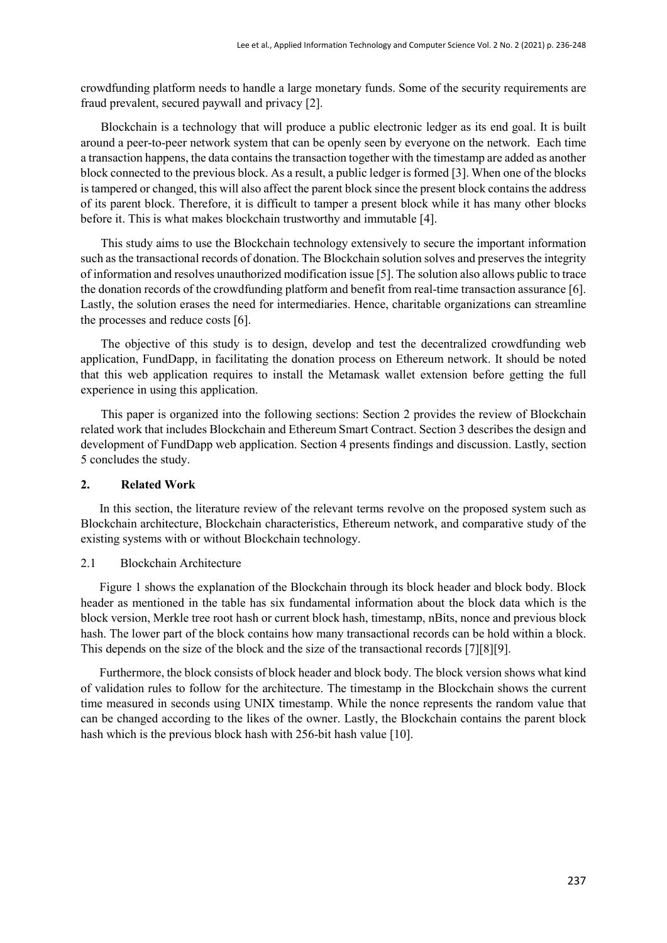crowdfunding platform needs to handle a large monetary funds. Some of the security requirements are fraud prevalent, secured paywall and privacy [2].

Blockchain is a technology that will produce a public electronic ledger as its end goal. It is built around a peer-to-peer network system that can be openly seen by everyone on the network. Each time a transaction happens, the data contains the transaction together with the timestamp are added as another block connected to the previous block. As a result, a public ledger is formed [3]. When one of the blocks is tampered or changed, this will also affect the parent block since the present block contains the address of its parent block. Therefore, it is difficult to tamper a present block while it has many other blocks before it. This is what makes blockchain trustworthy and immutable [4].

This study aims to use the Blockchain technology extensively to secure the important information such as the transactional records of donation. The Blockchain solution solves and preserves the integrity of information and resolves unauthorized modification issue [5]. The solution also allows public to trace the donation records of the crowdfunding platform and benefit from real-time transaction assurance [6]. Lastly, the solution erases the need for intermediaries. Hence, charitable organizations can streamline the processes and reduce costs [6].

The objective of this study is to design, develop and test the decentralized crowdfunding web application, FundDapp, in facilitating the donation process on Ethereum network. It should be noted that this web application requires to install the Metamask wallet extension before getting the full experience in using this application.

This paper is organized into the following sections: Section 2 provides the review of Blockchain related work that includes Blockchain and Ethereum Smart Contract. Section 3 describes the design and development of FundDapp web application. Section 4 presents findings and discussion. Lastly, section 5 concludes the study.

#### **2. Related Work**

In this section, the literature review of the relevant terms revolve on the proposed system such as Blockchain architecture, Blockchain characteristics, Ethereum network, and comparative study of the existing systems with or without Blockchain technology.

#### 2.1 Blockchain Architecture

Figure 1 shows the explanation of the Blockchain through its block header and block body. Block header as mentioned in the table has six fundamental information about the block data which is the block version, Merkle tree root hash or current block hash, timestamp, nBits, nonce and previous block hash. The lower part of the block contains how many transactional records can be hold within a block. This depends on the size of the block and the size of the transactional records [7][8][9].

Furthermore, the block consists of block header and block body. The block version shows what kind of validation rules to follow for the architecture. The timestamp in the Blockchain shows the current time measured in seconds using UNIX timestamp. While the nonce represents the random value that can be changed according to the likes of the owner. Lastly, the Blockchain contains the parent block hash which is the previous block hash with 256-bit hash value [10].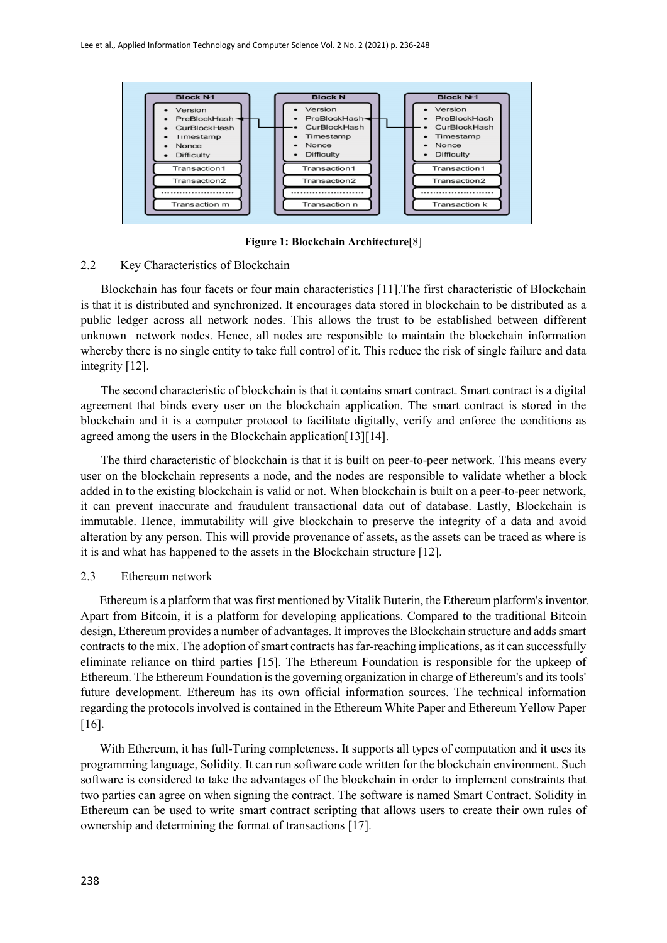

**Figure 1: Blockchain Architecture**[8]

#### 2.2 Key Characteristics of Blockchain

Blockchain has four facets or four main characteristics [11].The first characteristic of Blockchain is that it is distributed and synchronized. It encourages data stored in blockchain to be distributed as a public ledger across all network nodes. This allows the trust to be established between different unknown network nodes. Hence, all nodes are responsible to maintain the blockchain information whereby there is no single entity to take full control of it. This reduce the risk of single failure and data integrity [12].

The second characteristic of blockchain is that it contains smart contract. Smart contract is a digital agreement that binds every user on the blockchain application. The smart contract is stored in the blockchain and it is a computer protocol to facilitate digitally, verify and enforce the conditions as agreed among the users in the Blockchain application[13][14].

The third characteristic of blockchain is that it is built on peer-to-peer network. This means every user on the blockchain represents a node, and the nodes are responsible to validate whether a block added in to the existing blockchain is valid or not. When blockchain is built on a peer-to-peer network, it can prevent inaccurate and fraudulent transactional data out of database. Lastly, Blockchain is immutable. Hence, immutability will give blockchain to preserve the integrity of a data and avoid alteration by any person. This will provide provenance of assets, as the assets can be traced as where is it is and what has happened to the assets in the Blockchain structure [12].

#### 2.3 Ethereum network

Ethereum is a platform that was first mentioned by Vitalik Buterin, the Ethereum platform's inventor. Apart from Bitcoin, it is a platform for developing applications. Compared to the traditional Bitcoin design, Ethereum provides a number of advantages. It improves the Blockchain structure and adds smart contracts to the mix. The adoption of smart contracts has far-reaching implications, as it can successfully eliminate reliance on third parties [15]. The Ethereum Foundation is responsible for the upkeep of Ethereum. The Ethereum Foundation is the governing organization in charge of Ethereum's and its tools' future development. Ethereum has its own official information sources. The technical information regarding the protocols involved is contained in the Ethereum White Paper and Ethereum Yellow Paper [16].

With Ethereum, it has full-Turing completeness. It supports all types of computation and it uses its programming language, Solidity. It can run software code written for the blockchain environment. Such software is considered to take the advantages of the blockchain in order to implement constraints that two parties can agree on when signing the contract. The software is named Smart Contract. Solidity in Ethereum can be used to write smart contract scripting that allows users to create their own rules of ownership and determining the format of transactions [17].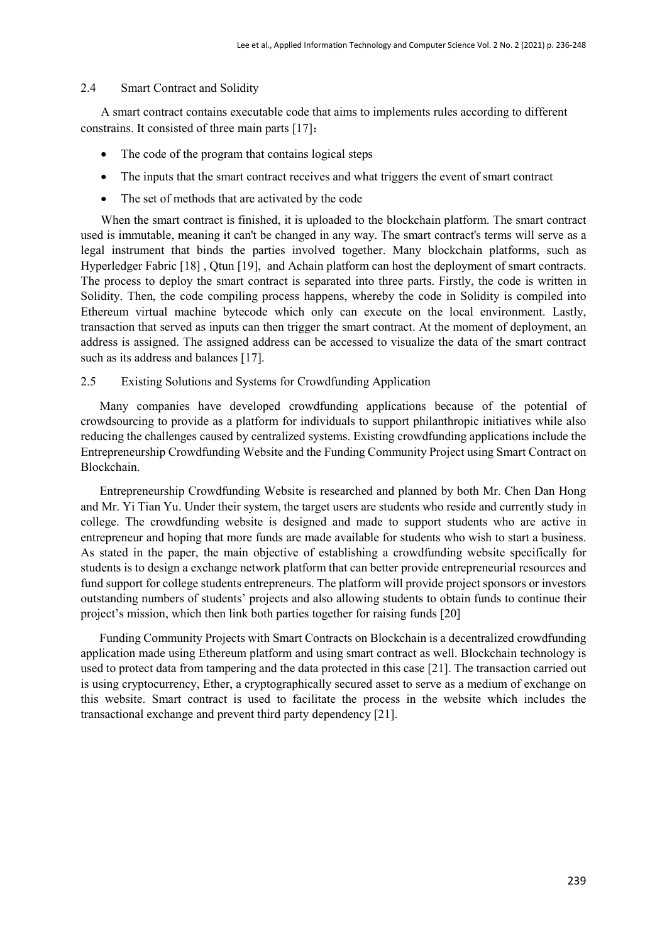#### 2.4 Smart Contract and Solidity

A smart contract contains executable code that aims to implements rules according to different constrains. It consisted of three main parts [17]:

- The code of the program that contains logical steps
- The inputs that the smart contract receives and what triggers the event of smart contract
- The set of methods that are activated by the code

When the smart contract is finished, it is uploaded to the blockchain platform. The smart contract used is immutable, meaning it can't be changed in any way. The smart contract's terms will serve as a legal instrument that binds the parties involved together. Many blockchain platforms, such as Hyperledger Fabric [18] , Qtun [19], and Achain platform can host the deployment of smart contracts. The process to deploy the smart contract is separated into three parts. Firstly, the code is written in Solidity. Then, the code compiling process happens, whereby the code in Solidity is compiled into Ethereum virtual machine bytecode which only can execute on the local environment. Lastly, transaction that served as inputs can then trigger the smart contract. At the moment of deployment, an address is assigned. The assigned address can be accessed to visualize the data of the smart contract such as its address and balances [17].

# 2.5 Existing Solutions and Systems for Crowdfunding Application

Many companies have developed crowdfunding applications because of the potential of crowdsourcing to provide as a platform for individuals to support philanthropic initiatives while also reducing the challenges caused by centralized systems. Existing crowdfunding applications include the Entrepreneurship Crowdfunding Website and the Funding Community Project using Smart Contract on Blockchain.

Entrepreneurship Crowdfunding Website is researched and planned by both Mr. Chen Dan Hong and Mr. Yi Tian Yu. Under their system, the target users are students who reside and currently study in college. The crowdfunding website is designed and made to support students who are active in entrepreneur and hoping that more funds are made available for students who wish to start a business. As stated in the paper, the main objective of establishing a crowdfunding website specifically for students is to design a exchange network platform that can better provide entrepreneurial resources and fund support for college students entrepreneurs. The platform will provide project sponsors or investors outstanding numbers of students' projects and also allowing students to obtain funds to continue their project's mission, which then link both parties together for raising funds [20]

Funding Community Projects with Smart Contracts on Blockchain is a decentralized crowdfunding application made using Ethereum platform and using smart contract as well. Blockchain technology is used to protect data from tampering and the data protected in this case [21]. The transaction carried out is using cryptocurrency, Ether, a cryptographically secured asset to serve as a medium of exchange on this website. Smart contract is used to facilitate the process in the website which includes the transactional exchange and prevent third party dependency [21].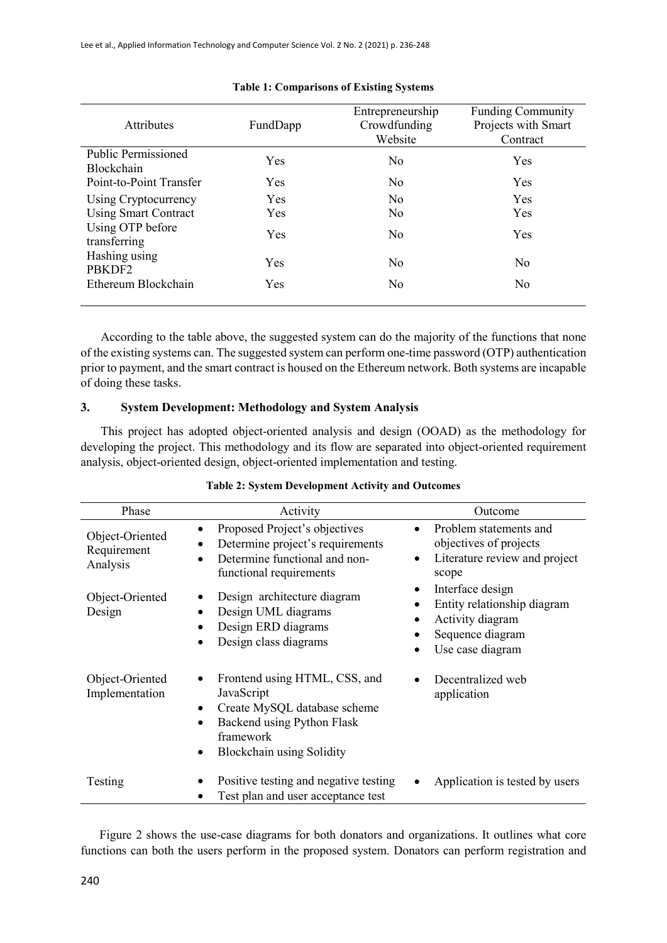| <b>Attributes</b>                        | FundDapp   | Entrepreneurship<br>Crowdfunding<br>Website | <b>Funding Community</b><br>Projects with Smart<br>Contract |  |  |
|------------------------------------------|------------|---------------------------------------------|-------------------------------------------------------------|--|--|
| <b>Public Permissioned</b><br>Blockchain | Yes        | N <sub>0</sub>                              | Yes                                                         |  |  |
| Point-to-Point Transfer                  | <b>Yes</b> | N <sub>0</sub>                              | Yes                                                         |  |  |
| Using Cryptocurrency                     | <b>Yes</b> | N <sub>0</sub>                              | Yes                                                         |  |  |
| <b>Using Smart Contract</b>              | <b>Yes</b> | N <sub>0</sub>                              | Yes                                                         |  |  |
| Using OTP before<br>transferring         | Yes        | N <sub>0</sub>                              | Yes                                                         |  |  |
| Hashing using<br>PBKDF2                  | Yes        | No                                          | No                                                          |  |  |
| Ethereum Blockchain                      | Yes        | No                                          | N <sub>0</sub>                                              |  |  |

#### **Table 1: Comparisons of Existing Systems**

According to the table above, the suggested system can do the majority of the functions that none of the existing systems can. The suggested system can perform one-time password (OTP) authentication prior to payment, and the smart contract is housed on the Ethereum network. Both systems are incapable of doing these tasks.

#### **3. System Development: Methodology and System Analysis**

This project has adopted object-oriented analysis and design (OOAD) as the methodology for developing the project. This methodology and its flow are separated into object-oriented requirement analysis, object-oriented design, object-oriented implementation and testing.

| Phase                                      | Activity                                                                                                                                                | Outcome                                                                                                                                            |
|--------------------------------------------|---------------------------------------------------------------------------------------------------------------------------------------------------------|----------------------------------------------------------------------------------------------------------------------------------------------------|
| Object-Oriented<br>Requirement<br>Analysis | Proposed Project's objectives<br>$\bullet$<br>Determine project's requirements<br>$\bullet$<br>Determine functional and non-<br>functional requirements | Problem statements and<br>$\bullet$<br>objectives of projects<br>Literature review and project<br>$\bullet$<br>scope                               |
| Object-Oriented<br>Design                  | Design architecture diagram<br>Design UML diagrams<br>٠<br>Design ERD diagrams<br>Design class diagrams                                                 | Interface design<br>$\bullet$<br>Entity relationship diagram<br>$\bullet$<br>Activity diagram<br>$\bullet$<br>Sequence diagram<br>Use case diagram |
| Object-Oriented<br>Implementation          | Frontend using HTML, CSS, and<br>JavaScript<br>Create MySQL database scheme<br>Backend using Python Flask<br>framework<br>Blockchain using Solidity     | Decentralized web<br>$\bullet$<br>application                                                                                                      |
| Testing                                    | Positive testing and negative testing<br>Test plan and user acceptance test                                                                             | Application is tested by users                                                                                                                     |

#### **Table 2: System Development Activity and Outcomes**

Figure 2 shows the use-case diagrams for both donators and organizations. It outlines what core functions can both the users perform in the proposed system. Donators can perform registration and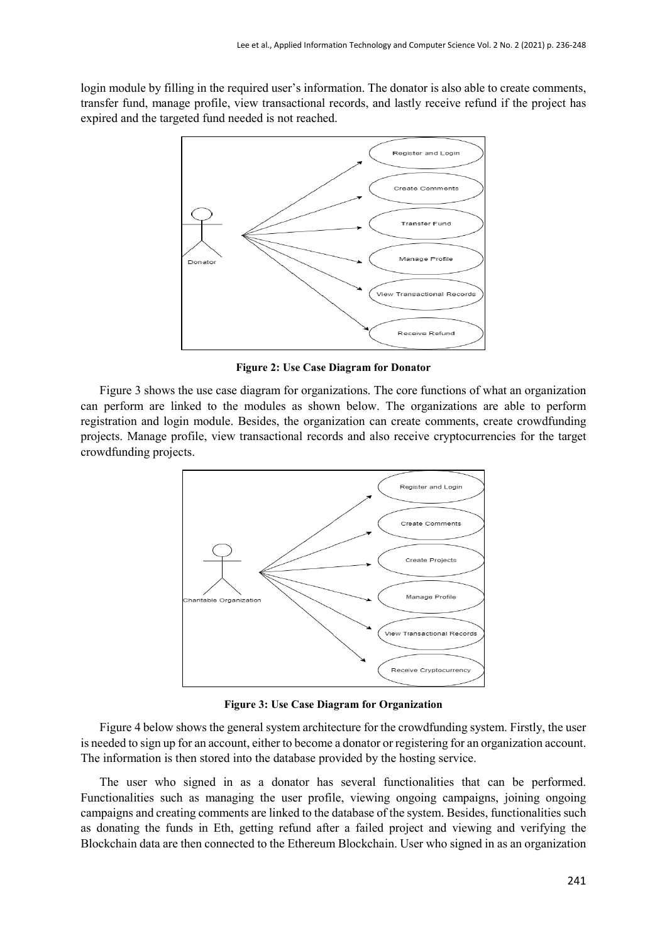login module by filling in the required user's information. The donator is also able to create comments, transfer fund, manage profile, view transactional records, and lastly receive refund if the project has expired and the targeted fund needed is not reached.



**Figure 2: Use Case Diagram for Donator**

Figure 3 shows the use case diagram for organizations. The core functions of what an organization can perform are linked to the modules as shown below. The organizations are able to perform registration and login module. Besides, the organization can create comments, create crowdfunding projects. Manage profile, view transactional records and also receive cryptocurrencies for the target crowdfunding projects.



**Figure 3: Use Case Diagram for Organization**

Figure 4 below shows the general system architecture for the crowdfunding system. Firstly, the user is needed to sign up for an account, either to become a donator or registering for an organization account. The information is then stored into the database provided by the hosting service.

The user who signed in as a donator has several functionalities that can be performed. Functionalities such as managing the user profile, viewing ongoing campaigns, joining ongoing campaigns and creating comments are linked to the database of the system. Besides, functionalities such as donating the funds in Eth, getting refund after a failed project and viewing and verifying the Blockchain data are then connected to the Ethereum Blockchain. User who signed in as an organization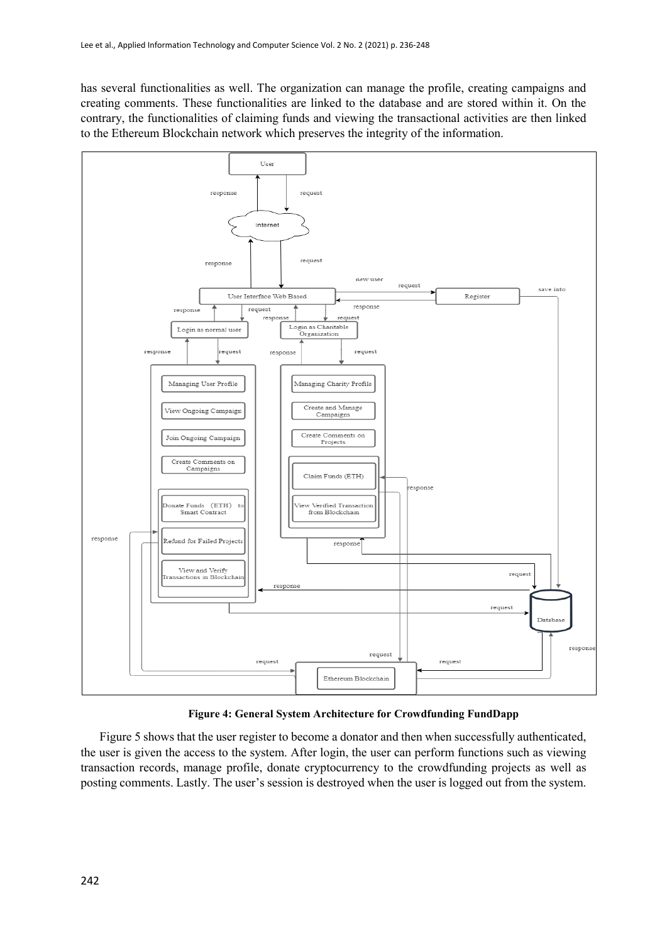has several functionalities as well. The organization can manage the profile, creating campaigns and creating comments. These functionalities are linked to the database and are stored within it. On the contrary, the functionalities of claiming funds and viewing the transactional activities are then linked to the Ethereum Blockchain network which preserves the integrity of the information.



**Figure 4: General System Architecture for Crowdfunding FundDapp**

Figure 5 shows that the user register to become a donator and then when successfully authenticated, the user is given the access to the system. After login, the user can perform functions such as viewing transaction records, manage profile, donate cryptocurrency to the crowdfunding projects as well as posting comments. Lastly. The user's session is destroyed when the user is logged out from the system.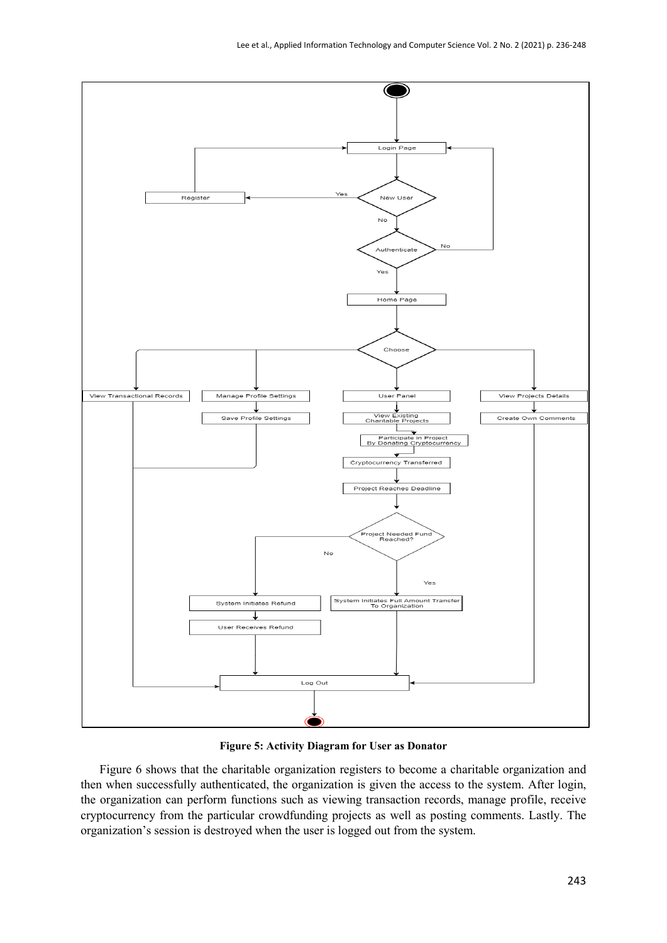

**Figure 5: Activity Diagram for User as Donator**

Figure 6 shows that the charitable organization registers to become a charitable organization and then when successfully authenticated, the organization is given the access to the system. After login, the organization can perform functions such as viewing transaction records, manage profile, receive cryptocurrency from the particular crowdfunding projects as well as posting comments. Lastly. The organization's session is destroyed when the user is logged out from the system.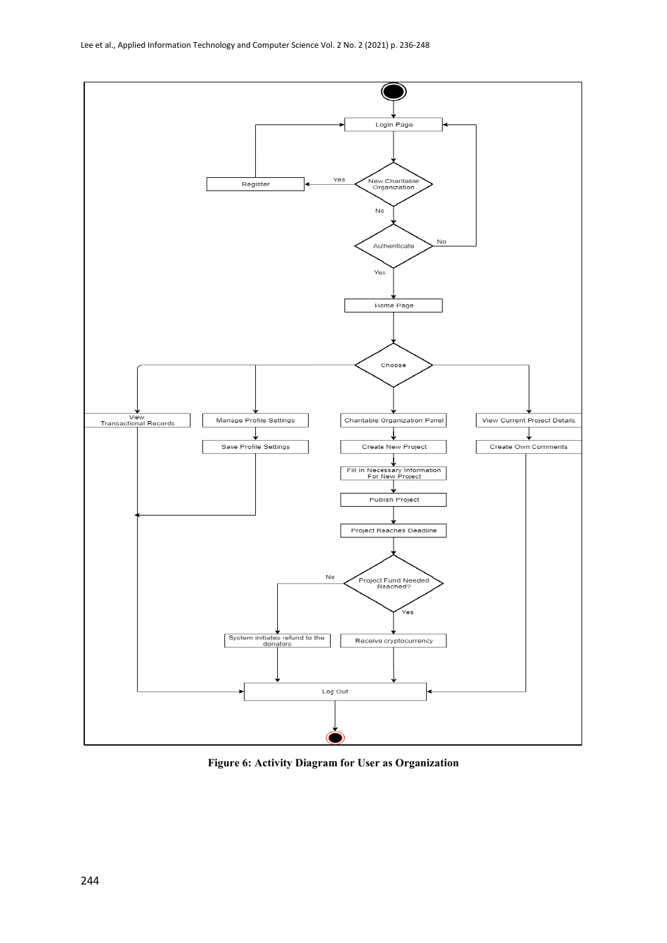

**Figure 6: Activity Diagram for User as Organization**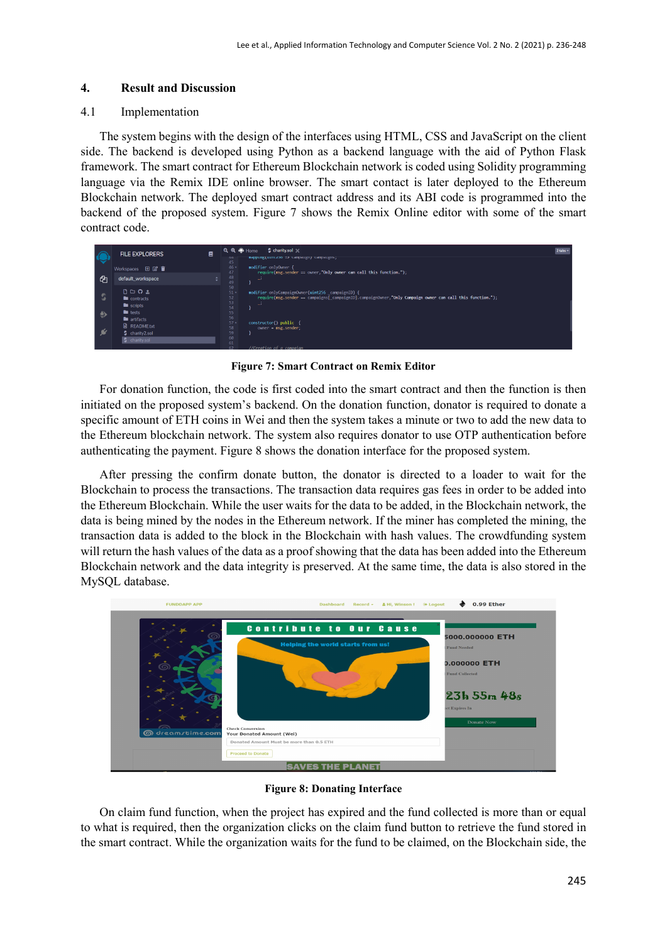# **4. Result and Discussion**

# 4.1 Implementation

The system begins with the design of the interfaces using HTML, CSS and JavaScript on the client side. The backend is developed using Python as a backend language with the aid of Python Flask framework. The smart contract for Ethereum Blockchain network is coded using Solidity programming language via the Remix IDE online browser. The smart contact is later deployed to the Ethereum Blockchain network. The deployed smart contract address and its ABI code is programmed into the backend of the proposed system. Figure 7 shows the Remix Online editor with some of the smart contract code.

| $\bigcirc$ | 目<br><b>FILE EXPLORERS</b>                                                      | $Q$ $Q$ $Q$ Home<br>S charity.sol<br>mapping(uintzoo => campaign) campaigns;<br>44<br>45                                                                                                                                      | $2$ tabs $-$ |
|------------|---------------------------------------------------------------------------------|-------------------------------------------------------------------------------------------------------------------------------------------------------------------------------------------------------------------------------|--------------|
| - 42       | Workspaces 田 2 盲<br>default_workspace                                           | 46 -<br>modifier onlyOwner<br>47<br>require(msg.sender == owner,"Only owner can call this function.");<br>48<br>u)                                                                                                            |              |
| - 5<br>♦   | $0 \cup 0$ $\pm$<br>contracts<br>$\blacksquare$ scripts<br>$\blacksquare$ tests | 49<br>50<br>$51 -$<br>modifier onlyCampaignOwner(uint256 campaignID) {<br>require(msg.sender == campaigns[_campaignID].campaignOwner,"Only Campaign owner can call this function.");<br>52<br>53<br>$\rightarrow$<br>54<br>55 |              |
| - 64       | artifacts<br><b>A</b> README.txt<br>S charity2.sol<br><b>S</b> charity.sol      | 56<br>$57+$<br>constructor() public<br>58<br>$owner = msg.sender;$<br>59<br>60<br>61<br>//Creation of a campaian                                                                                                              |              |

**Figure 7: Smart Contract on Remix Editor**

For donation function, the code is first coded into the smart contract and then the function is then initiated on the proposed system's backend. On the donation function, donator is required to donate a specific amount of ETH coins in Wei and then the system takes a minute or two to add the new data to the Ethereum blockchain network. The system also requires donator to use OTP authentication before authenticating the payment. Figure 8 shows the donation interface for the proposed system.

After pressing the confirm donate button, the donator is directed to a loader to wait for the Blockchain to process the transactions. The transaction data requires gas fees in order to be added into the Ethereum Blockchain. While the user waits for the data to be added, in the Blockchain network, the data is being mined by the nodes in the Ethereum network. If the miner has completed the mining, the transaction data is added to the block in the Blockchain with hash values. The crowdfunding system will return the hash values of the data as a proof showing that the data has been added into the Ethereum Blockchain network and the data integrity is preserved. At the same time, the data is also stored in the MySQL database.



**Figure 8: Donating Interface**

On claim fund function, when the project has expired and the fund collected is more than or equal to what is required, then the organization clicks on the claim fund button to retrieve the fund stored in the smart contract. While the organization waits for the fund to be claimed, on the Blockchain side, the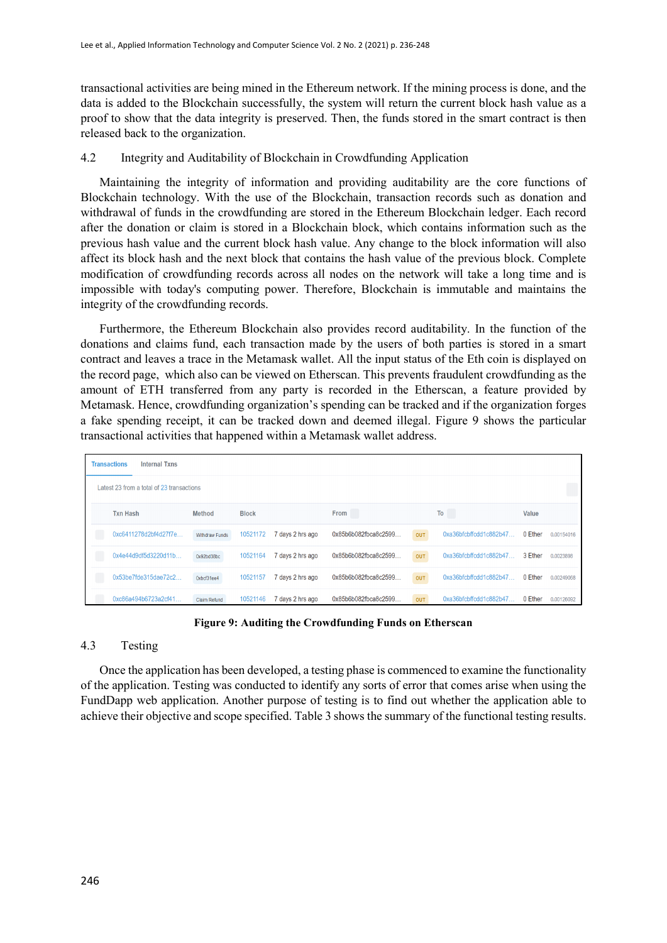transactional activities are being mined in the Ethereum network. If the mining process is done, and the data is added to the Blockchain successfully, the system will return the current block hash value as a proof to show that the data integrity is preserved. Then, the funds stored in the smart contract is then released back to the organization.

# 4.2 Integrity and Auditability of Blockchain in Crowdfunding Application

Maintaining the integrity of information and providing auditability are the core functions of Blockchain technology. With the use of the Blockchain, transaction records such as donation and withdrawal of funds in the crowdfunding are stored in the Ethereum Blockchain ledger. Each record after the donation or claim is stored in a Blockchain block, which contains information such as the previous hash value and the current block hash value. Any change to the block information will also affect its block hash and the next block that contains the hash value of the previous block. Complete modification of crowdfunding records across all nodes on the network will take a long time and is impossible with today's computing power. Therefore, Blockchain is immutable and maintains the integrity of the crowdfunding records.

Furthermore, the Ethereum Blockchain also provides record auditability. In the function of the donations and claims fund, each transaction made by the users of both parties is stored in a smart contract and leaves a trace in the Metamask wallet. All the input status of the Eth coin is displayed on the record page, which also can be viewed on Etherscan. This prevents fraudulent crowdfunding as the amount of ETH transferred from any party is recorded in the Etherscan, a feature provided by Metamask. Hence, crowdfunding organization's spending can be tracked and if the organization forges a fake spending receipt, it can be tracked down and deemed illegal. Figure 9 shows the particular transactional activities that happened within a Metamask wallet address.

| <b>Transactions</b><br><b>Internal Txns</b> |                       |              |                  |                      |            |                                 |              |            |
|---------------------------------------------|-----------------------|--------------|------------------|----------------------|------------|---------------------------------|--------------|------------|
| Latest 23 from a total of 23 transactions   |                       |              |                  |                      |            |                                 |              |            |
| <b>Txn Hash</b>                             | <b>Method</b>         | <b>Block</b> |                  | From                 |            | T <sub>o</sub>                  | <b>Value</b> |            |
| 0xc6411278d2bf4d27f7e                       | <b>Withdraw Funds</b> | 10521172     | 7 days 2 hrs ago | 0x85b6b082fbca8c2599 | <b>OUT</b> | $0xa36b$ f $cb$ f $cdd1c882b47$ | 0 Ether      | 0.00154016 |
| 0x4e44d9df5d3220d11b                        | 0x92bd38bc            | 10521164     | 7 days 2 hrs ago | 0x85b6b082fbca8c2599 | <b>OUT</b> | $0xa36b$ fcbffcdd $1c882b47$    | 3 Ether      | 0.0023898  |
| 0x53be7fde315dae72c2                        | 0xbcf31ee4            | 10521157     | 7 days 2 hrs ago | 0x85b6b082fbca8c2599 | <b>OUT</b> | $0xa36b$ fcbffcdd $1c882b47$    | 0 Ether      | 0.00249068 |
| 0xc86a494b6723a2cf41                        | <b>Claim Refund</b>   | 10521146     | 7 days 2 hrs ago | 0x85b6b082fbca8c2599 | <b>OUT</b> | $0xa36b$ f $cb$ f $cdd1c882b47$ | 0 Ether      | 0.00126092 |

**Figure 9: Auditing the Crowdfunding Funds on Etherscan**

# 4.3 Testing

Once the application has been developed, a testing phase is commenced to examine the functionality of the application. Testing was conducted to identify any sorts of error that comes arise when using the FundDapp web application. Another purpose of testing is to find out whether the application able to achieve their objective and scope specified. Table 3 shows the summary of the functional testing results.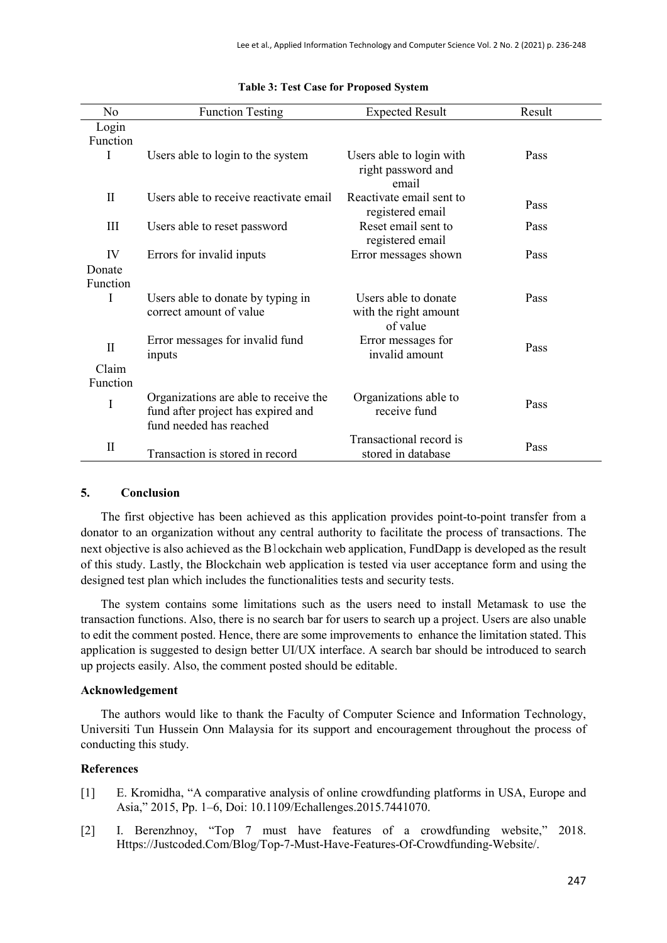| No                | <b>Function Testing</b>                                                                                | <b>Expected Result</b>                                    | Result |
|-------------------|--------------------------------------------------------------------------------------------------------|-----------------------------------------------------------|--------|
| Login             |                                                                                                        |                                                           |        |
| Function          |                                                                                                        |                                                           |        |
| L                 | Users able to login to the system                                                                      | Users able to login with<br>right password and<br>email   | Pass   |
| $\rm{II}$         | Users able to receive reactivate email                                                                 | Reactivate email sent to<br>registered email              | Pass   |
| III               | Users able to reset password                                                                           | Reset email sent to<br>registered email                   | Pass   |
| IV                | Errors for invalid inputs                                                                              | Error messages shown                                      | Pass   |
| Donate            |                                                                                                        |                                                           |        |
| Function          |                                                                                                        |                                                           |        |
| I                 | Users able to donate by typing in<br>correct amount of value                                           | Users able to donate<br>with the right amount<br>of value | Pass   |
| $\mathbf{I}$      | Error messages for invalid fund<br>inputs                                                              | Error messages for<br>invalid amount                      | Pass   |
| Claim<br>Function |                                                                                                        |                                                           |        |
| I                 | Organizations are able to receive the<br>fund after project has expired and<br>fund needed has reached | Organizations able to<br>receive fund                     | Pass   |
| $\mathbf{I}$      | Transaction is stored in record                                                                        | Transactional record is<br>stored in database             | Pass   |

#### **Table 3: Test Case for Proposed System**

#### **5. Conclusion**

The first objective has been achieved as this application provides point-to-point transfer from a donator to an organization without any central authority to facilitate the process of transactions. The next objective is also achieved as the Blockchain web application, FundDapp is developed as the result of this study. Lastly, the Blockchain web application is tested via user acceptance form and using the designed test plan which includes the functionalities tests and security tests.

The system contains some limitations such as the users need to install Metamask to use the transaction functions. Also, there is no search bar for users to search up a project. Users are also unable to edit the comment posted. Hence, there are some improvements to enhance the limitation stated. This application is suggested to design better UI/UX interface. A search bar should be introduced to search up projects easily. Also, the comment posted should be editable.

# **Acknowledgement**

The authors would like to thank the Faculty of Computer Science and Information Technology, Universiti Tun Hussein Onn Malaysia for its support and encouragement throughout the process of conducting this study.

## **References**

- [1] E. Kromidha, "A comparative analysis of online crowdfunding platforms in USA, Europe and Asia," 2015, Pp. 1–6, Doi: 10.1109/Echallenges.2015.7441070.
- [2] I. Berenzhnoy, "Top 7 must have features of a crowdfunding website," 2018. Https://Justcoded.Com/Blog/Top-7-Must-Have-Features-Of-Crowdfunding-Website/.